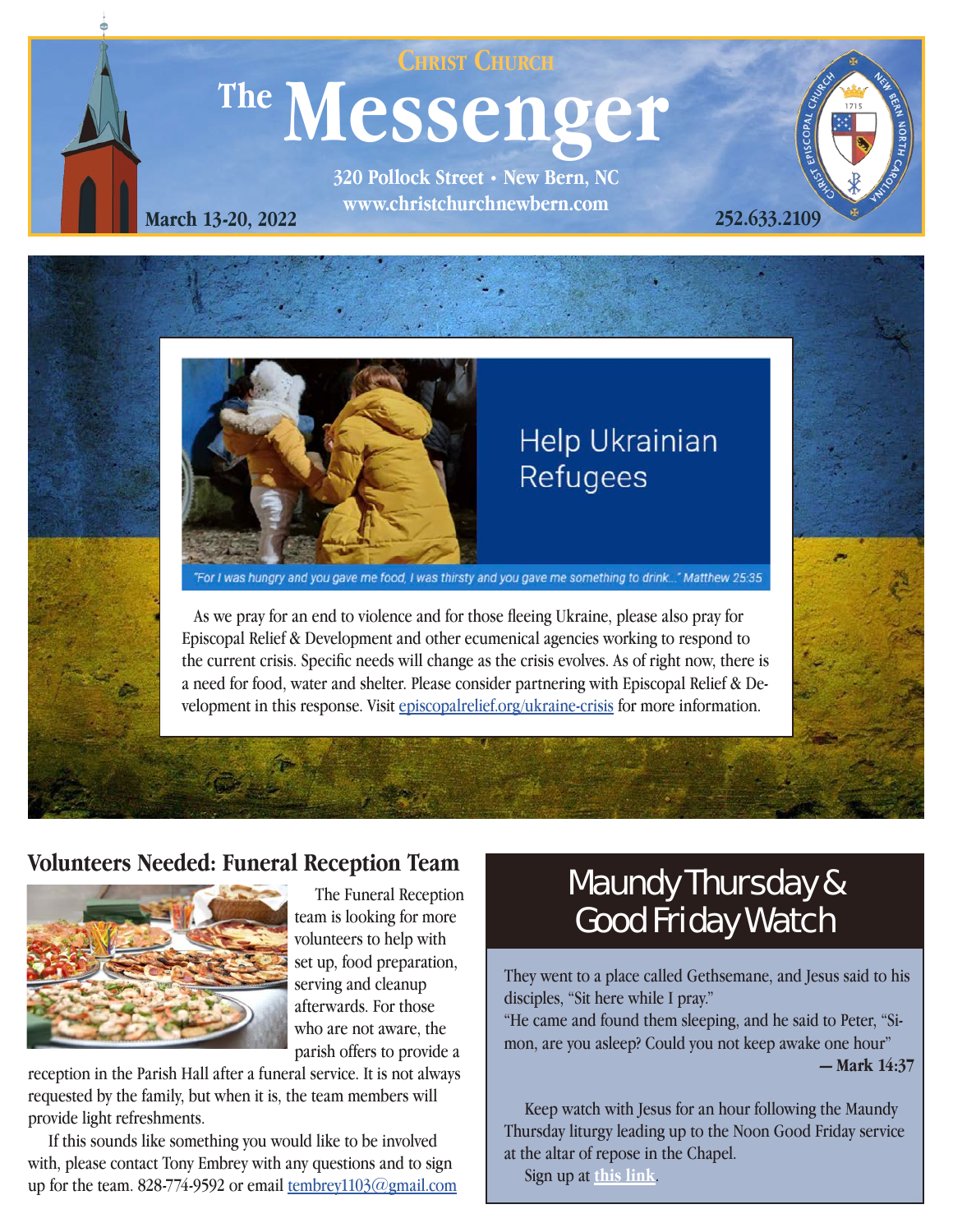

**www.christchurchnewbern.com March 13-20, 2022**



## **Help Ukrainian** Refugees

"For I was hungry and you gave me food, I was thirsty and you gave me something to drink..." Matthew 25:35

 As we pray for an end to violence and for those fleeing Ukraine, please also pray for Episcopal Relief & Development and other ecumenical agencies working to respond to the current crisis. Specific needs will change as the crisis evolves. As of right now, there is a need for food, water and shelter. Please consider partnering with Episcopal Relief & Development in this response. Visit [episcopalrelief.org/ukraine-crisis](http://episcopalrelief.org/ukraine-crisis) for more information.



**252.633.2109**

<u>1</u>



team is looking for more volunteers to help with set up, food preparation, serving and cleanup afterwards. For those who are not aware, the parish offers to provide a

reception in the Parish Hall after a funeral service. It is not always requested by the family, but when it is, the team members will provide light refreshments.

 If this sounds like something you would like to be involved with, please contact Tony Embrey with any questions and to sign up for the team. 828-774-9592 or email [tembrey1103@gmail.com](mailto:tembrey1103%40gmail.com?subject=)

## Volunteers Needed: Funeral Reception Team<br>The Funeral Reception **Maundy Thursday & Good Friday Watch**

They went to a place called Gethsemane, and Jesus said to his disciples, "Sit here while I pray."

"He came and found them sleeping, and he said to Peter, "Simon, are you asleep? Could you not keep awake one hour" **— Mark 14:37**

 Keep watch with Jesus for an hour following the Maundy Thursday liturgy leading up to the Noon Good Friday service at the altar of repose in the Chapel.

Sign up at **[this link](https://www.signupgenius.com/go/409094DAEA928ABFF2-maundy2)**.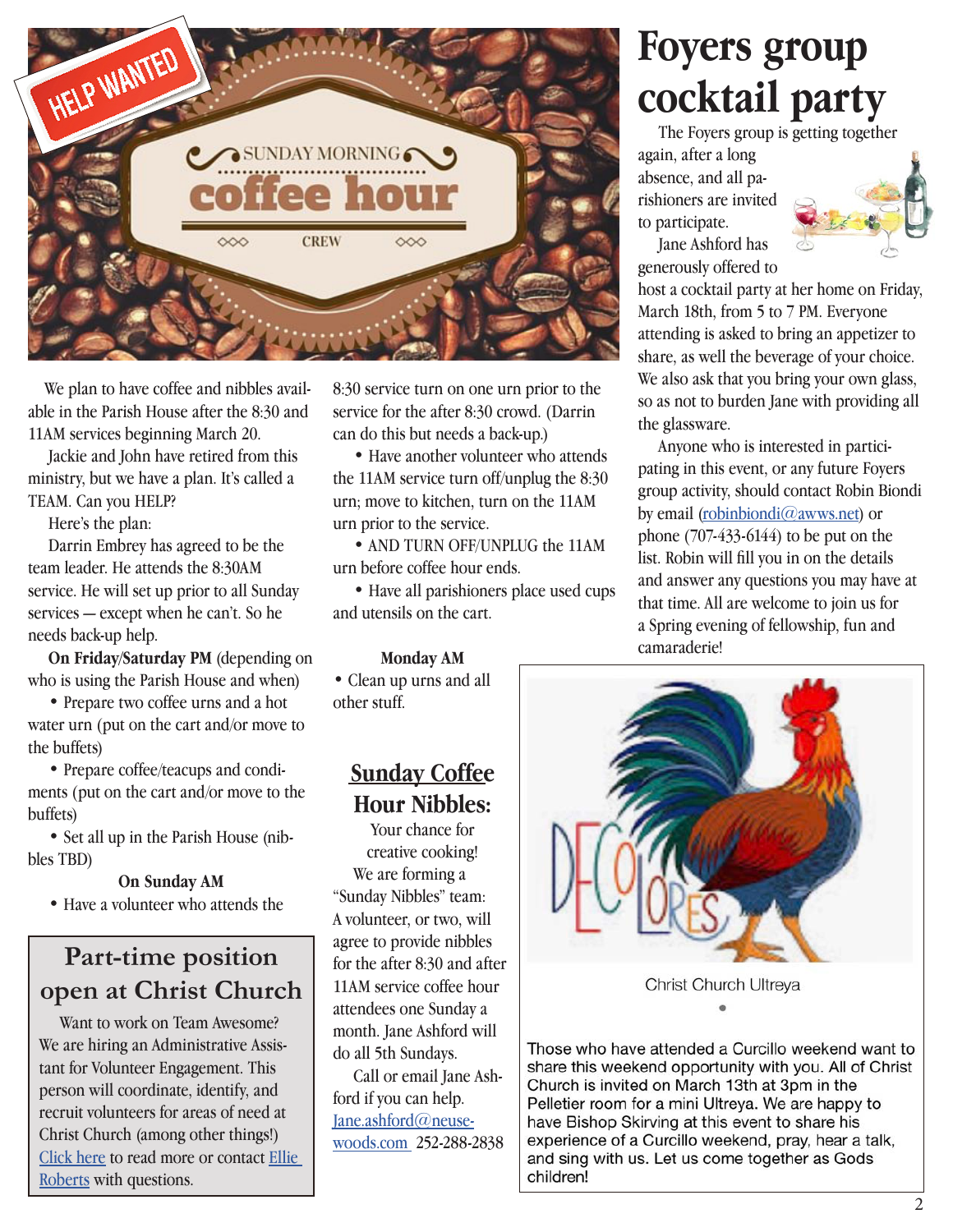

 We plan to have coffee and nibbles available in the Parish House after the 8:30 and 11AM services beginning March 20.

 Jackie and John have retired from this ministry, but we have a plan. It's called a TEAM. Can you HELP?

Here's the plan:

 Darrin Embrey has agreed to be the team leader. He attends the 8:30AM service. He will set up prior to all Sunday services — except when he can't. So he needs back-up help.

**On Friday/Saturday PM** (depending on who is using the Parish House and when)

 • Prepare two coffee urns and a hot water urn (put on the cart and/or move to the buffets)

 • Prepare coffee/teacups and condiments (put on the cart and/or move to the buffets)

 • Set all up in the Parish House (nibbles TBD)

#### **On Sunday AM**

• Have a volunteer who attends the

### **Part-time position open at Christ Church**

 Want to work on Team Awesome? We are hiring an Administrative Assistant for Volunteer Engagement. This person will coordinate, identify, and recruit volunteers for areas of need at Christ Church (among other things!) [Click](https://www.christchurchnewbern.com/employment-opportunities-at-christ-church) here to read more or contact [Ellie](mailto:Ellieroberts%40christchurchnewbern.com?subject=)  [Roberts](mailto:Ellieroberts%40christchurchnewbern.com?subject=) with questions.

8:30 service turn on one urn prior to the service for the after 8:30 crowd. (Darrin can do this but needs a back-up.)

 • Have another volunteer who attends the 11AM service turn off/unplug the 8:30 urn; move to kitchen, turn on the 11AM urn prior to the service.

 • AND TURN OFF/UNPLUG the 11AM urn before coffee hour ends.

 • Have all parishioners place used cups and utensils on the cart.

**Monday AM**

• Clean up urns and all other stuff.

#### **Sunday Coffee Hour Nibbles:**

Your chance for creative cooking! We are forming a "Sunday Nibbles" team: A volunteer, or two, will agree to provide nibbles for the after 8:30 and after 11AM service coffee hour attendees one Sunday a month. Jane Ashford will do all 5th Sundays.

 Call or email Jane Ash[ford if you can help.](mailto:jane.ashford%40neusewoods.com?subject=) [Jane.ashford](mailto:jane.ashford%40neusewoods.com?subject=)@neusewoods.com 252-288-2838

# **Foyers group cocktail party**

 The Foyers group is getting together again, after a long absence, and all parishioners are invited to participate.



 Jane Ashford has generously offered to

host a cocktail party at her home on Friday, March 18th, from 5 to 7 PM. Everyone attending is asked to bring an appetizer to share, as well the beverage of your choice. We also ask that you bring your own glass, so as not to burden Jane with providing all the glassware.

Anyone who is interested in participating in this event, or any future Foyers group activity, should contact Robin Biondi by email [\(robinbiondi@awws.net\)](http://robinbiondi@awws.net) or phone (707-433-6144) to be put on the list. Robin will fill you in on the details and answer any questions you may have at that time. All are welcome to join us for a Spring evening of fellowship, fun and camaraderie!



Those who have attended a Curcillo weekend want to share this weekend opportunity with you. All of Christ Church is invited on March 13th at 3pm in the Pelletier room for a mini Ultreya. We are happy to have Bishop Skirving at this event to share his experience of a Curcillo weekend, pray, hear a talk, and sing with us. Let us come together as Gods children!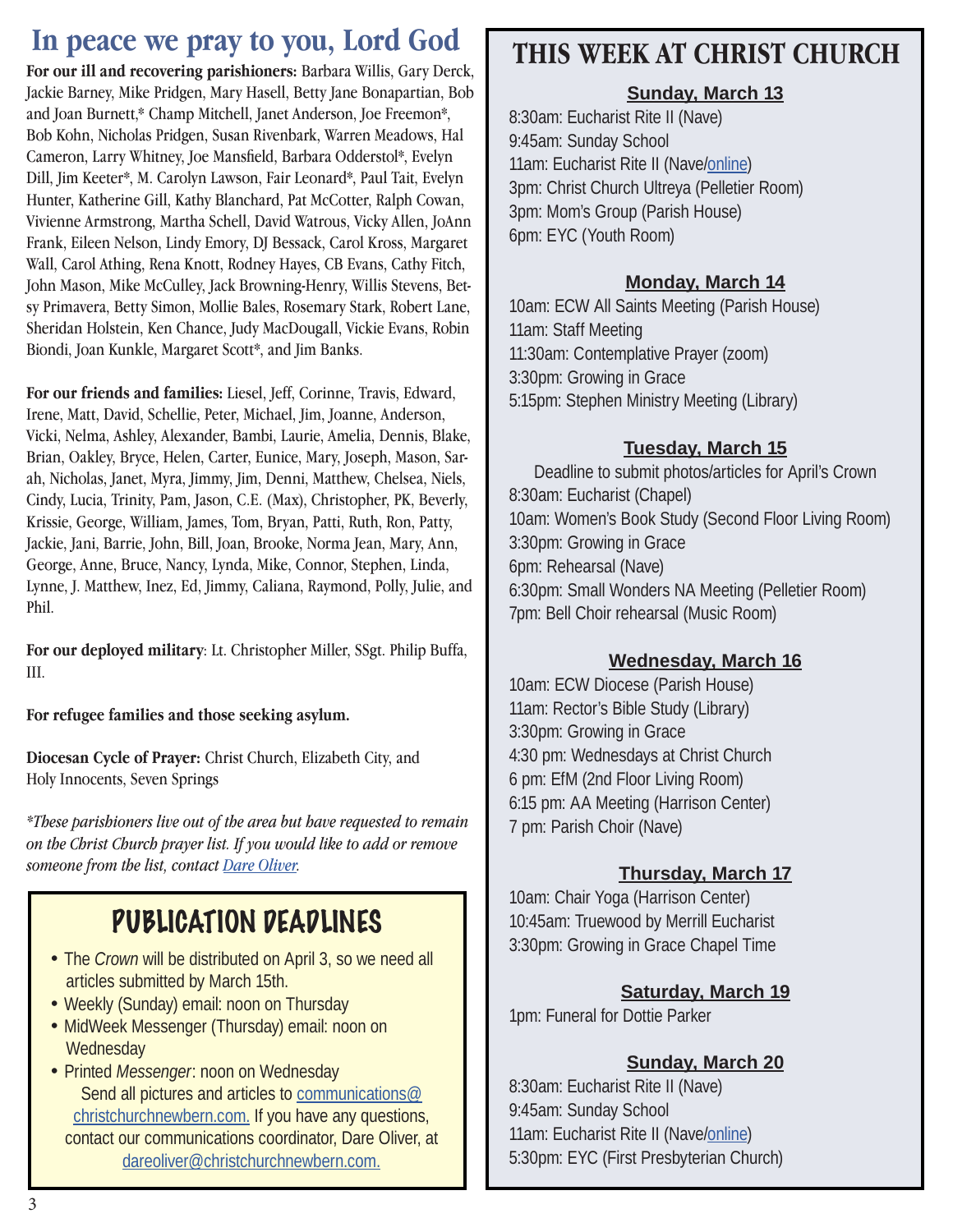## **In peace we pray to you, Lord God**

**For our ill and recovering parishioners:** Barbara Willis, Gary Derck, Jackie Barney, Mike Pridgen, Mary Hasell, Betty Jane Bonapartian, Bob and Joan Burnett,\* Champ Mitchell, Janet Anderson, Joe Freemon\*, Bob Kohn, Nicholas Pridgen, Susan Rivenbark, Warren Meadows, Hal Cameron, Larry Whitney, Joe Mansfield, Barbara Odderstol\*, Evelyn Dill, Jim Keeter\*, M. Carolyn Lawson, Fair Leonard\*, Paul Tait, Evelyn Hunter, Katherine Gill, Kathy Blanchard, Pat McCotter, Ralph Cowan, Vivienne Armstrong, Martha Schell, David Watrous, Vicky Allen, JoAnn Frank, Eileen Nelson, Lindy Emory, DJ Bessack, Carol Kross, Margaret Wall, Carol Athing, Rena Knott, Rodney Hayes, CB Evans, Cathy Fitch, John Mason, Mike McCulley, Jack Browning-Henry, Willis Stevens, Betsy Primavera, Betty Simon, Mollie Bales, Rosemary Stark, Robert Lane, Sheridan Holstein, Ken Chance, Judy MacDougall, Vickie Evans, Robin Biondi, Joan Kunkle, Margaret Scott\*, and Jim Banks.

**For our friends and families:** Liesel, Jeff, Corinne, Travis, Edward, Irene, Matt, David, Schellie, Peter, Michael, Jim, Joanne, Anderson, Vicki, Nelma, Ashley, Alexander, Bambi, Laurie, Amelia, Dennis, Blake, Brian, Oakley, Bryce, Helen, Carter, Eunice, Mary, Joseph, Mason, Sarah, Nicholas, Janet, Myra, Jimmy, Jim, Denni, Matthew, Chelsea, Niels, Cindy, Lucia, Trinity, Pam, Jason, C.E. (Max), Christopher, PK, Beverly, Krissie, George, William, James, Tom, Bryan, Patti, Ruth, Ron, Patty, Jackie, Jani, Barrie, John, Bill, Joan, Brooke, Norma Jean, Mary, Ann, George, Anne, Bruce, Nancy, Lynda, Mike, Connor, Stephen, Linda, Lynne, J. Matthew, Inez, Ed, Jimmy, Caliana, Raymond, Polly, Julie, and Phil.

**For our deployed military**: Lt. Christopher Miller, SSgt. Philip Buffa, III.

**For refugee families and those seeking asylum.**

**Diocesan Cycle of Prayer:** Christ Church, Elizabeth City, and Holy Innocents, Seven Springs

*\*These parishioners live out of the area but have requested to remain on the Christ Church prayer list. If you would like to add or remove someone from the list, contact Dare Oliver.*

## PUBLICATION DEADLINES

- The *Crown* will be distributed on April 3, so we need all articles submitted by March 15th.
- Weekly (Sunday) email: noon on Thursday
- MidWeek Messenger (Thursday) email: noon on **Wednesday**
- Printed *Messenger*: noon on Wednesday Send all pictures and articles to [communications@](mailto:communications@christchurchnewbern.com) [christchurchnewbern.com](mailto:communications@christchurchnewbern.com). If you have any questions, contact our communications coordinator, Dare Oliver, at [dareoliver@christchurchnewbern.com.](mailto:dareoliver%40christchurchnewbern.com?subject=)

## **THIS WEEK AT CHRIST CHURCH**

#### **Sunday, March 13**

8:30am: Eucharist Rite II (Nave) 9:45am: Sunday School 11am: Eucharist Rite II (Nave[/online](https://youtu.be/88wbOL6bfVg)) 3pm: Christ Church Ultreya (Pelletier Room) 3pm: Mom's Group (Parish House) 6pm: EYC (Youth Room)

#### **Monday, March 14**

10am: ECW All Saints Meeting (Parish House) 11am: Staff Meeting 11:30am: Contemplative Prayer (zoom) 3:30pm: Growing in Grace 5:15pm: Stephen Ministry Meeting (Library)

#### **Tuesday, March 15**

Deadline to submit photos/articles for April's Crown 8:30am: Eucharist (Chapel) 10am: Women's Book Study (Second Floor Living Room) 3:30pm: Growing in Grace 6pm: Rehearsal (Nave) 6:30pm: Small Wonders NA Meeting (Pelletier Room) 7pm: Bell Choir rehearsal (Music Room)

#### **Wednesday, March 16**

10am: ECW Diocese (Parish House) 11am: Rector's Bible Study (Library) 3:30pm: Growing in Grace 4:30 pm: Wednesdays at Christ Church 6 pm: EfM (2nd Floor Living Room) 6:15 pm: AA Meeting (Harrison Center) 7 pm: Parish Choir (Nave)

#### **Thursday, March 17**

10am: Chair Yoga (Harrison Center) 10:45am: Truewood by Merrill Eucharist 3:30pm: Growing in Grace Chapel Time

#### **Saturday, March 19**

1pm: Funeral for Dottie Parker

#### **Sunday, March 20**

8:30am: Eucharist Rite II (Nave) 9:45am: Sunday School 11am: Eucharist Rite II (Nave[/online](https://youtu.be/TqYMBRFvRkA)) 5:30pm: EYC (First Presbyterian Church)